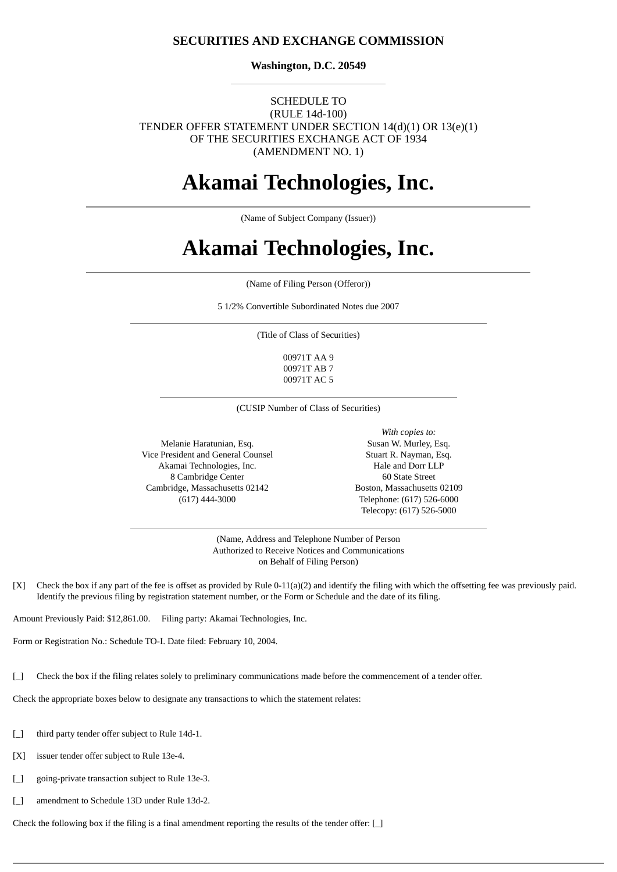## **SECURITIES AND EXCHANGE COMMISSION**

**Washington, D.C. 20549**

### SCHEDULE TO (RULE 14d-100) TENDER OFFER STATEMENT UNDER SECTION 14(d)(1) OR 13(e)(1) OF THE SECURITIES EXCHANGE ACT OF 1934 (AMENDMENT NO. 1)

## **Akamai Technologies, Inc.**

(Name of Subject Company (Issuer))

# **Akamai Technologies, Inc.**

(Name of Filing Person (Offeror))

5 1/2% Convertible Subordinated Notes due 2007

(Title of Class of Securities)

00971T AA 9 00971T AB 7 00971T AC 5

(CUSIP Number of Class of Securities)

Melanie Haratunian, Esq. Vice President and General Counsel Akamai Technologies, Inc. 8 Cambridge Center Cambridge, Massachusetts 02142 (617) 444-3000

*With copies to:* Susan W. Murley, Esq. Stuart R. Nayman, Esq. Hale and Dorr LLP 60 State Street Boston, Massachusetts 02109 Telephone: (617) 526-6000 Telecopy: (617) 526-5000

(Name, Address and Telephone Number of Person Authorized to Receive Notices and Communications on Behalf of Filing Person)

[X] Check the box if any part of the fee is offset as provided by Rule 0-11(a)(2) and identify the filing with which the offsetting fee was previously paid. Identify the previous filing by registration statement number, or the Form or Schedule and the date of its filing.

Amount Previously Paid: \$12,861.00. Filing party: Akamai Technologies, Inc.

Form or Registration No.: Schedule TO-I. Date filed: February 10, 2004.

[\_] Check the box if the filing relates solely to preliminary communications made before the commencement of a tender offer.

Check the appropriate boxes below to designate any transactions to which the statement relates:

- [\_] third party tender offer subject to Rule 14d-1.
- [X] issuer tender offer subject to Rule 13e-4.
- [  $\Box$  going-private transaction subject to Rule 13e-3.
- [\_] amendment to Schedule 13D under Rule 13d-2.

Check the following box if the filing is a final amendment reporting the results of the tender offer:  $\Box$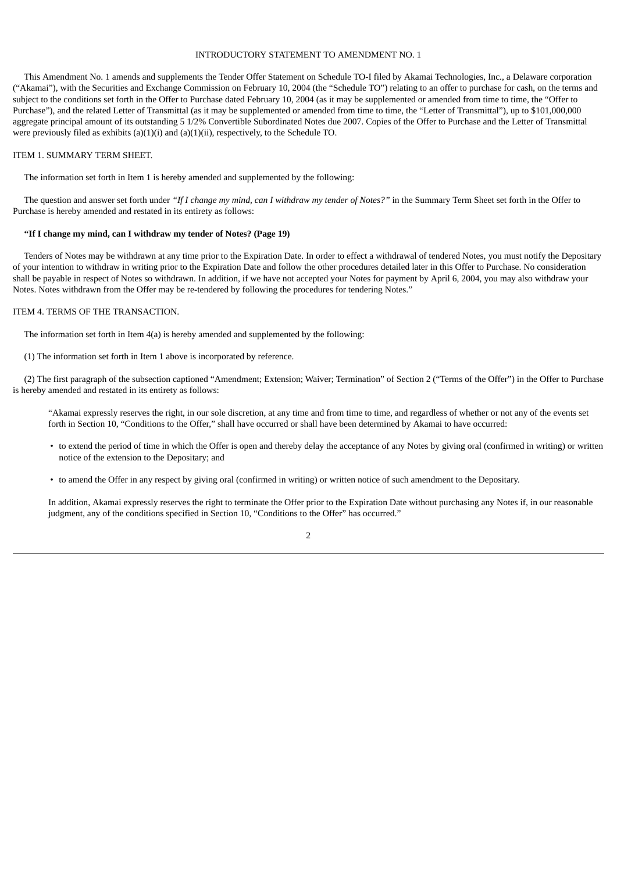#### INTRODUCTORY STATEMENT TO AMENDMENT NO. 1

 This Amendment No. 1 amends and supplements the Tender Offer Statement on Schedule TO-I filed by Akamai Technologies, Inc., a Delaware corporation ("Akamai"), with the Securities and Exchange Commission on February 10, 2004 (the "Schedule TO") relating to an offer to purchase for cash, on the terms and subject to the conditions set forth in the Offer to Purchase dated February 10, 2004 (as it may be supplemented or amended from time to time, the "Offer to Purchase"), and the related Letter of Transmittal (as it may be supplemented or amended from time to time, the "Letter of Transmittal"), up to \$101,000,000 aggregate principal amount of its outstanding 5 1/2% Convertible Subordinated Notes due 2007. Copies of the Offer to Purchase and the Letter of Transmittal were previously filed as exhibits (a)(1)(i) and (a)(1)(ii), respectively, to the Schedule TO.

#### ITEM 1. SUMMARY TERM SHEET.

The information set forth in Item 1 is hereby amended and supplemented by the following:

The question and answer set forth under "If I change my mind, can I withdraw my tender of Notes?" in the Summary Term Sheet set forth in the Offer to Purchase is hereby amended and restated in its entirety as follows:

#### **"If I change my mind, can I withdraw my tender of Notes? (Page 19)**

 Tenders of Notes may be withdrawn at any time prior to the Expiration Date. In order to effect a withdrawal of tendered Notes, you must notify the Depositary of your intention to withdraw in writing prior to the Expiration Date and follow the other procedures detailed later in this Offer to Purchase. No consideration shall be payable in respect of Notes so withdrawn. In addition, if we have not accepted your Notes for payment by April 6, 2004, you may also withdraw your Notes. Notes withdrawn from the Offer may be re-tendered by following the procedures for tendering Notes."

### ITEM 4. TERMS OF THE TRANSACTION.

The information set forth in Item 4(a) is hereby amended and supplemented by the following:

(1) The information set forth in Item 1 above is incorporated by reference.

 (2) The first paragraph of the subsection captioned "Amendment; Extension; Waiver; Termination" of Section 2 ("Terms of the Offer") in the Offer to Purchase is hereby amended and restated in its entirety as follows:

"Akamai expressly reserves the right, in our sole discretion, at any time and from time to time, and regardless of whether or not any of the events set forth in Section 10, "Conditions to the Offer," shall have occurred or shall have been determined by Akamai to have occurred:

- to extend the period of time in which the Offer is open and thereby delay the acceptance of any Notes by giving oral (confirmed in writing) or written notice of the extension to the Depositary; and
- to amend the Offer in any respect by giving oral (confirmed in writing) or written notice of such amendment to the Depositary.

In addition, Akamai expressly reserves the right to terminate the Offer prior to the Expiration Date without purchasing any Notes if, in our reasonable judgment, any of the conditions specified in Section 10, "Conditions to the Offer" has occurred."

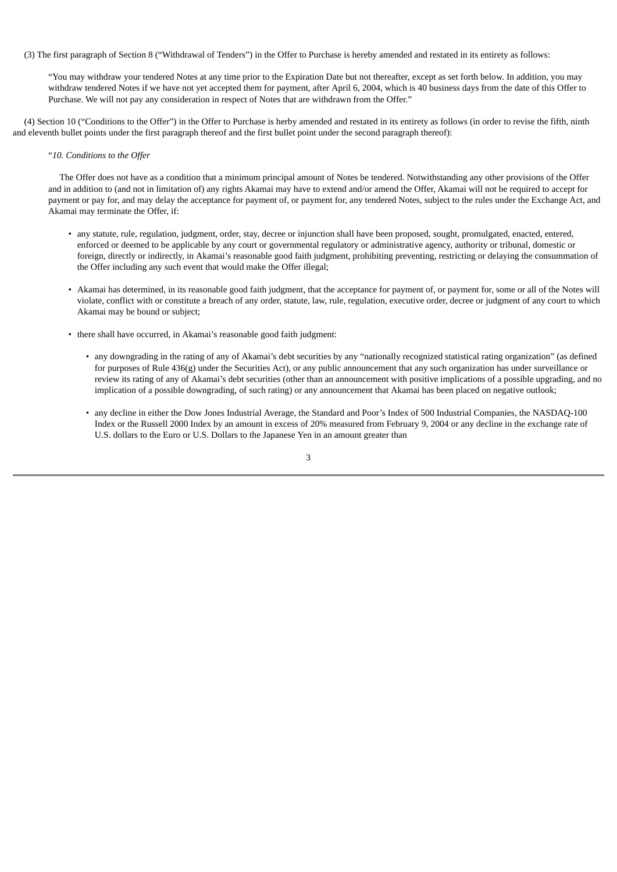(3) The first paragraph of Section 8 ("Withdrawal of Tenders") in the Offer to Purchase is hereby amended and restated in its entirety as follows:

"You may withdraw your tendered Notes at any time prior to the Expiration Date but not thereafter, except as set forth below. In addition, you may withdraw tendered Notes if we have not yet accepted them for payment, after April 6, 2004, which is 40 business days from the date of this Offer to Purchase. We will not pay any consideration in respect of Notes that are withdrawn from the Offer."

 (4) Section 10 ("Conditions to the Offer") in the Offer to Purchase is herby amended and restated in its entirety as follows (in order to revise the fifth, ninth and eleventh bullet points under the first paragraph thereof and the first bullet point under the second paragraph thereof):

#### "*10. Conditions to the Offer*

 The Offer does not have as a condition that a minimum principal amount of Notes be tendered. Notwithstanding any other provisions of the Offer and in addition to (and not in limitation of) any rights Akamai may have to extend and/or amend the Offer, Akamai will not be required to accept for payment or pay for, and may delay the acceptance for payment of, or payment for, any tendered Notes, subject to the rules under the Exchange Act, and Akamai may terminate the Offer, if:

- any statute, rule, regulation, judgment, order, stay, decree or injunction shall have been proposed, sought, promulgated, enacted, entered, enforced or deemed to be applicable by any court or governmental regulatory or administrative agency, authority or tribunal, domestic or foreign, directly or indirectly, in Akamai's reasonable good faith judgment, prohibiting preventing, restricting or delaying the consummation of the Offer including any such event that would make the Offer illegal;
- Akamai has determined, in its reasonable good faith judgment, that the acceptance for payment of, or payment for, some or all of the Notes will violate, conflict with or constitute a breach of any order, statute, law, rule, regulation, executive order, decree or judgment of any court to which Akamai may be bound or subject;
- there shall have occurred, in Akamai's reasonable good faith judgment:
	- any downgrading in the rating of any of Akamai's debt securities by any "nationally recognized statistical rating organization" (as defined for purposes of Rule 436(g) under the Securities Act), or any public announcement that any such organization has under surveillance or review its rating of any of Akamai's debt securities (other than an announcement with positive implications of a possible upgrading, and no implication of a possible downgrading, of such rating) or any announcement that Akamai has been placed on negative outlook;
	- any decline in either the Dow Jones Industrial Average, the Standard and Poor's Index of 500 Industrial Companies, the NASDAQ-100 Index or the Russell 2000 Index by an amount in excess of 20% measured from February 9, 2004 or any decline in the exchange rate of U.S. dollars to the Euro or U.S. Dollars to the Japanese Yen in an amount greater than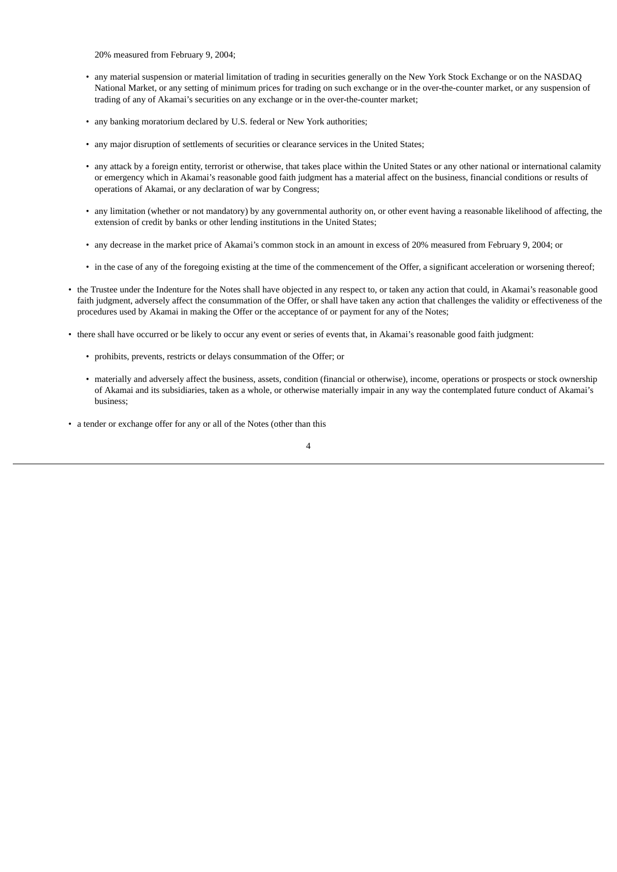20% measured from February 9, 2004;

- any material suspension or material limitation of trading in securities generally on the New York Stock Exchange or on the NASDAQ National Market, or any setting of minimum prices for trading on such exchange or in the over-the-counter market, or any suspension of trading of any of Akamai's securities on any exchange or in the over-the-counter market;
- any banking moratorium declared by U.S. federal or New York authorities;
- any major disruption of settlements of securities or clearance services in the United States;
- any attack by a foreign entity, terrorist or otherwise, that takes place within the United States or any other national or international calamity or emergency which in Akamai's reasonable good faith judgment has a material affect on the business, financial conditions or results of operations of Akamai, or any declaration of war by Congress;
- any limitation (whether or not mandatory) by any governmental authority on, or other event having a reasonable likelihood of affecting, the extension of credit by banks or other lending institutions in the United States;
- any decrease in the market price of Akamai's common stock in an amount in excess of 20% measured from February 9, 2004; or
- in the case of any of the foregoing existing at the time of the commencement of the Offer, a significant acceleration or worsening thereof;
- the Trustee under the Indenture for the Notes shall have objected in any respect to, or taken any action that could, in Akamai's reasonable good faith judgment, adversely affect the consummation of the Offer, or shall have taken any action that challenges the validity or effectiveness of the procedures used by Akamai in making the Offer or the acceptance of or payment for any of the Notes;
- there shall have occurred or be likely to occur any event or series of events that, in Akamai's reasonable good faith judgment:
	- prohibits, prevents, restricts or delays consummation of the Offer; or
	- materially and adversely affect the business, assets, condition (financial or otherwise), income, operations or prospects or stock ownership of Akamai and its subsidiaries, taken as a whole, or otherwise materially impair in any way the contemplated future conduct of Akamai's business;
- a tender or exchange offer for any or all of the Notes (other than this

4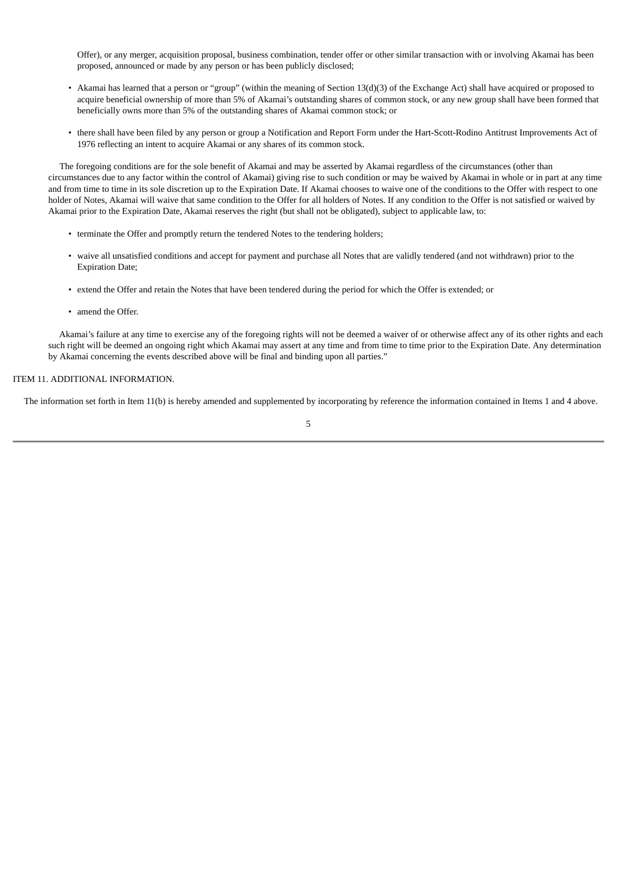Offer), or any merger, acquisition proposal, business combination, tender offer or other similar transaction with or involving Akamai has been proposed, announced or made by any person or has been publicly disclosed;

- Akamai has learned that a person or "group" (within the meaning of Section 13(d)(3) of the Exchange Act) shall have acquired or proposed to acquire beneficial ownership of more than 5% of Akamai's outstanding shares of common stock, or any new group shall have been formed that beneficially owns more than 5% of the outstanding shares of Akamai common stock; or
- there shall have been filed by any person or group a Notification and Report Form under the Hart-Scott-Rodino Antitrust Improvements Act of 1976 reflecting an intent to acquire Akamai or any shares of its common stock.

 The foregoing conditions are for the sole benefit of Akamai and may be asserted by Akamai regardless of the circumstances (other than circumstances due to any factor within the control of Akamai) giving rise to such condition or may be waived by Akamai in whole or in part at any time and from time to time in its sole discretion up to the Expiration Date. If Akamai chooses to waive one of the conditions to the Offer with respect to one holder of Notes, Akamai will waive that same condition to the Offer for all holders of Notes. If any condition to the Offer is not satisfied or waived by Akamai prior to the Expiration Date, Akamai reserves the right (but shall not be obligated), subject to applicable law, to:

- terminate the Offer and promptly return the tendered Notes to the tendering holders;
- waive all unsatisfied conditions and accept for payment and purchase all Notes that are validly tendered (and not withdrawn) prior to the Expiration Date;
- extend the Offer and retain the Notes that have been tendered during the period for which the Offer is extended; or
- amend the Offer.

 Akamai's failure at any time to exercise any of the foregoing rights will not be deemed a waiver of or otherwise affect any of its other rights and each such right will be deemed an ongoing right which Akamai may assert at any time and from time to time prior to the Expiration Date. Any determination by Akamai concerning the events described above will be final and binding upon all parties."

#### ITEM 11. ADDITIONAL INFORMATION.

The information set forth in Item 11(b) is hereby amended and supplemented by incorporating by reference the information contained in Items 1 and 4 above.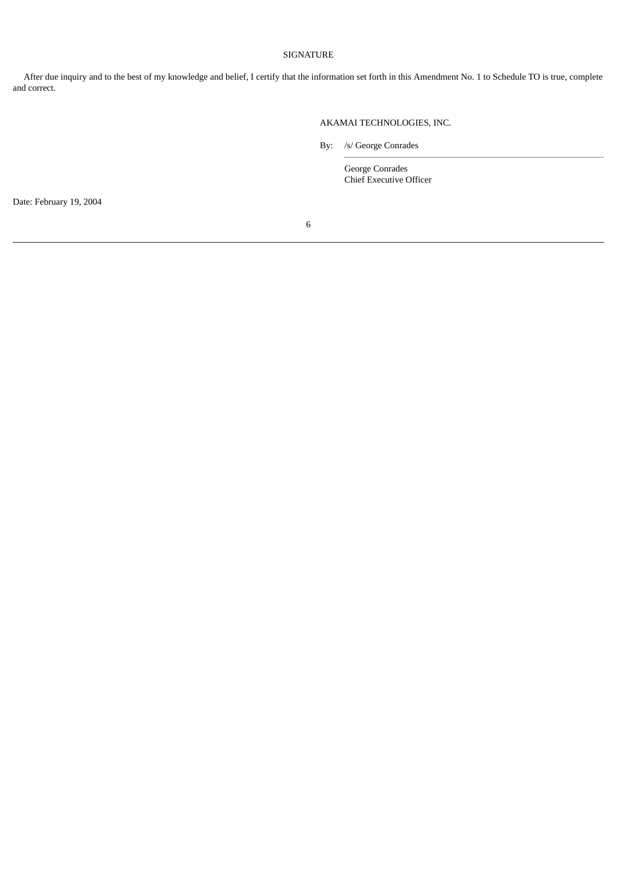## SIGNATURE

 After due inquiry and to the best of my knowledge and belief, I certify that the information set forth in this Amendment No. 1 to Schedule TO is true, complete and correct.

#### AKAMAI TECHNOLOGIES, INC.

By: /s/ George Conrades

George Conrades Chief Executive Officer

Date: February 19, 2004